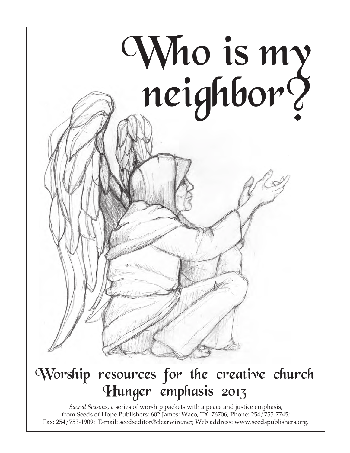

### Worship resources for the creative church Hunger emphasis 2013

*Sacred Seasons,* a series of worship packets with a peace and justice emphasis, from Seeds of Hope Publishers: 602 James; Waco, TX 76706; Phone: 254/755-7745; Fax: 254/753-1909; E-mail: seedseditor@clearwire.net; Web address: www.seedspublishers.org.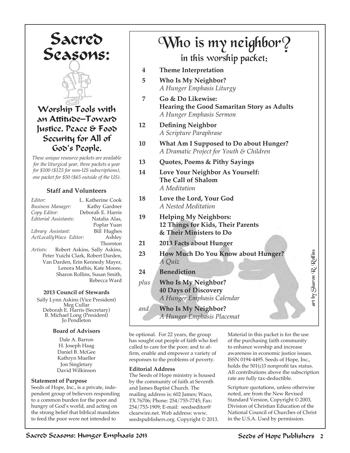Sacred Seasons:



Worship Tools with an Attitude—Toward Justice, Peace & Food Security for All of God's People.

*These unique resource packets are available for the liturgical year, three packets a year for \$100 (\$125 for non-US subscriptions), one packet for \$50 (\$65 outside of the US).*

#### **Staff and Volunteers**

| Editor:                            | L. Katherine Cook            |
|------------------------------------|------------------------------|
| Business Manager:                  | Kathy Gardner                |
| Copy Editor:                       | Deborah E. Harris            |
| Editorial Assistants:              | Natalia Alas,                |
|                                    | Poplar Yuan                  |
| Library Assistant:                 | <b>Bill Hughes</b>           |
| ActLocallyWaco Editor:             | Ashley                       |
|                                    | Thornton                     |
| Artists:                           | Robert Askins, Sally Askins, |
| Peter Yuichi Clark, Robert Darden, |                              |
| Van Darden, Erin Kennedy Mayer,    |                              |
| Lenora Mathis, Kate Moore,         |                              |
| Sharon Rollins, Susan Smith,       |                              |
| Rebecca Ward                       |                              |

#### **2013 Council of Stewards**

Sally Lynn Askins (Vice President) Meg Cullar Deborah E. Harris (Secretary) B. Michael Long (President) Jo Pendleton

#### **Board of Advisors**

Dale A. Barron H. Joseph Haag Daniel B. McGee Kathryn Mueller Jon Singletary David Wilkinson

#### **Statement of Purpose**

Seeds of Hope, Inc., is a private, independent group of believers responding to a common burden for the poor and hungry of God's world, and acting on the strong belief that biblical mandates to feed the poor were not intended to

### in this worship packet: Who is my neighbor?

- **4 Theme Interpretation**
- **5 Who Is My Neighbor?** *A Hunger Emphasis Liturgy*
- **7 Go & Do Likewise: Hearing the Good Samaritan Story as Adults** *A Hunger Emphasis Sermon*
- **12 Defining Neighbor** *A Scripture Paraphrase*
- **10 What Am I Supposed to Do about Hunger?** *A Dramatic Project for Youth & Children*
- **13 Quotes, Poems & Pithy Sayings**
- **14 Love Your Neighbor As Yourself: The Call of Shalom** *A Meditation*
- **18 Love the Lord, Your God** *A Nested Meditation*
- **19 Helping My Neighbors: 12 Things for Kids, Their Parents & Their Ministers to Do**
- **21 2013 Facts about Hunger**
- **23 How Much Do You Know about Hunger?** *A Quiz*
- **24 Benediction**
- *plus* **Who Is My Neighbor? 40 Days of Discovery** *A Hunger Emphasis Calendar*
- *and* **Who Is My Neighbor?** *A Hunger Emphasis Placemat*

be optional. For 22 years, the group has sought out people of faith who feel called to care for the poor; and to affirm, enable and empower a variety of responses to the problems of poverty.

#### **Editorial Address**

The Seeds of Hope ministry is housed by the community of faith at Seventh and James Baptist Church. The mailing address is: 602 James; Waco, TX 76706; Phone: 254/755-7745; Fax: 254/753-1909; E-mail: seedseditor@ clearwire.net. Web address: www. seedspublishers.org. Copyright © 2013. Material in this packet is for the use of the purchasing faith community to enhance worship and increase awareness in economic justice issues. ISSN 0194-4495. Seeds of Hope, Inc., holds the 501(c)3 nonprofit tax status. All contributions above the subscription rate are fully tax-deductible.

art by Sharon R. Rollins

by Sharon R. Rollins

Scripture quotations, unless otherwise noted, are from the New Revised Standard Version, Copyright © 2003, Division of Christian Education of the National Council of Churches of Christ in the U.S.A. Used by permission.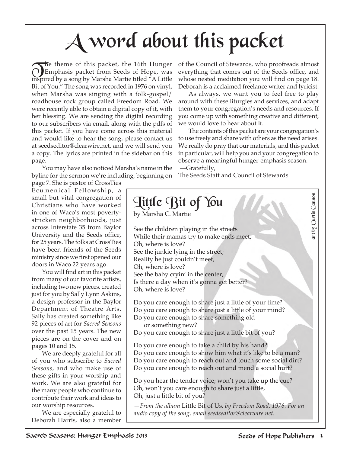# A word about this packet

The theme of this packet, the 16th Hunger<br>
Emphasis packet from Seeds of Hope, was<br>
isonized by a sono by Marsha Martia titled "A Little inspired by a song by Marsha Martie titled "A Little Bit of You." The song was recorded in 1976 on vinyl, when Marsha was singing with a folk-gospel/ roadhouse rock group called Freedom Road. We were recently able to obtain a digital copy of it, with her blessing. We are sending the digital recording to our subscribers via email, along with the pdfs of this packet. If you have come across this material and would like to hear the song, please contact us at seedseditor@clearwire.net, and we will send you a copy. The lyrics are printed in the sidebar on this page.

You may have also noticed Marsha's name in the byline for the sermon we're including, beginning on

page 7. She is pastor of CrossTies Ecumenical Fellowship, a small but vital congregation of Christians who have worked in one of Waco's most povertystricken neighborhoods, just across Interstate 35 from Baylor University and the Seeds office, for 25 years. The folks at CrossTies have been friends of the Seeds ministry since we first opened our doors in Waco 22 years ago.

You will find art in this packet from many of our favorite artists, including two new pieces, created just for you by Sally Lynn Askins, a design professor in the Baylor Department of Theatre Arts. Sally has created something like 92 pieces of art for *Sacred Seasons* over the past 15 years. The new pieces are on the cover and on pages 10 and 15.

We are deeply grateful for all of you who subscribe to *Sacred Seasons*, and who make use of these gifts in your worship and work. We are also grateful for the many people who continue to contribute their work and ideas to our worship resources.

We are especially grateful to Deborah Harris, also a member

of the Council of Stewards, who proofreads almost everything that comes out of the Seeds office, and whose nested meditation you will find on page 18. Deborah is a acclaimed freelance writer and lyricist.

As always, we want you to feel free to play around with these liturgies and services, and adapt them to your congregation's needs and resources. If you come up with something creative and different, we would love to hear about it.

The contents of this packet are your congregation's to use freely and share with others as the need arises. We really do pray that our materials, and this packet in particular, will help you and your congregation to observe a meaningful hunger-emphasis season. —Gratefully,

The Seeds Staff and Council of Stewards



*audio copy of the song, email seedseditor@clearwire.net.*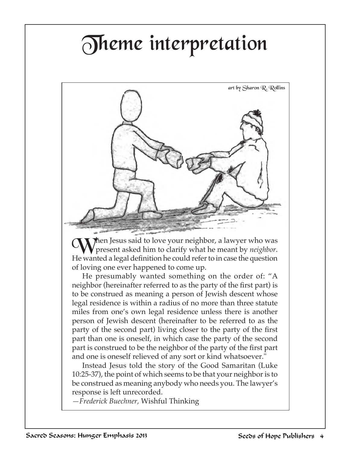# Theme interpretation



When Jesus said to love your neighbor, a lawyer who was<br> **When** the second asked him to clarify what he meant by *neighbor*. He wanted a legal definition he could refer to in case the question of loving one ever happened to come up.

He presumably wanted something on the order of: "A neighbor (hereinafter referred to as the party of the first part) is to be construed as meaning a person of Jewish descent whose legal residence is within a radius of no more than three statute miles from one's own legal residence unless there is another person of Jewish descent (hereinafter to be referred to as the party of the second part) living closer to the party of the first part than one is oneself, in which case the party of the second part is construed to be the neighbor of the party of the first part and one is oneself relieved of any sort or kind whatsoever."

Instead Jesus told the story of the Good Samaritan (Luke 10:25-37), the point of which seems to be that your neighbor is to be construed as meaning anybody who needs you. The lawyer's response is left unrecorded.

*—Frederick Buechner,* Wishful Thinking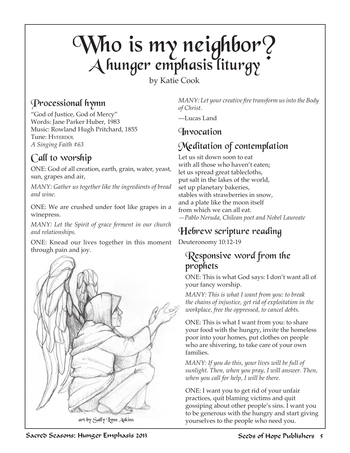### Who is my neighbor?  ${\mathcal A}$ hunger emphasis liturgy

by Katie Cook

#### Processional hymn

"God of Justice, God of Mercy" Words: Jane Parker Huber, 1983 Music: Rowland Hugh Pritchard, 1855 Tune: HYFERDOL *A Singing Faith #63*

### Call to worship

ONE: God of all creation, earth, grain, water, yeast, sun, grapes and air,

*MANY: Gather us together like the ingredients of bread and wine.*

ONE: We are crushed under foot like grapes in a winepress.

*MANY: Let the Spirit of grace ferment in our church and relationships.*

ONE: Knead our lives together in this moment through pain and joy.



*MANY: Let your creative fire transform us into the Body of Christ.*

—Lucas Land

#### Invocation

### Meditation of contemplation

Let us sit down soon to eat with all those who haven't eaten; let us spread great tablecloths, put salt in the lakes of the world, set up planetary bakeries, stables with strawberries in snow, and a plate like the moon itself from which we can all eat. *—Pablo Neruda, Chilean poet and Nobel Laureate*

### Hebrew scripture reading

Deuteronomy 10:12-19

#### Responsive word from the prophets

ONE: This is what God says: I don't want all of your fancy worship.

*MANY: This is what I want from you: to break the chains of injustice, get rid of exploitation in the workplace, free the oppressed, to cancel debts.*

ONE: This is what I want from you: to share your food with the hungry, invite the homeless poor into your homes, put clothes on people who are shivering, to take care of your own families.

*MANY: If you do this, your lives will be full of sunlight. Then, when you pray, I will answer. Then, when you call for help, I will be there.*

ONE: I want you to get rid of your unfair practices, quit blaming victims and quit gossiping about other people's sins. I want you to be generous with the hungry and start giving yourselves to the people who need you.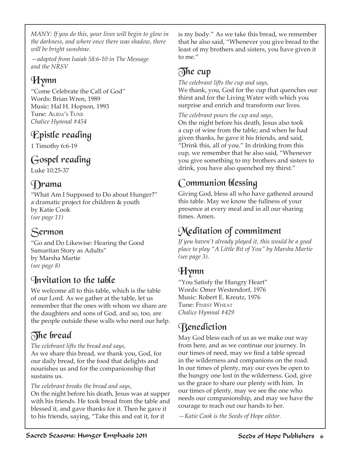*MANY: If you do this, your lives will begin to glow in the darkness, and where once there was shadow, there will be bright sunshine.*

*—adapted from Isaiah 58:6-10 in The Message and the NRSV*

#### Hymn

"Come Celebrate the Call of God" Words: Brian Wren, 1989 Music: Hal H. Hopson, 1993 Tune: ALIDA'S TUNE *Chalice Hymnal #454*

#### Epistle reading

1 Timothy 6:6-19

#### Gospel reading

Luke 10:25-37

#### Drama

"What Am I Supposed to Do about Hunger?" a dramatic project for children & youth by Katie Cook *(see page 11)*

#### Sermon

"Go and Do Likewise: Hearing the Good Samaritan Story as Adults" by Marsha Martie *(see page 8)*

#### Invitation to the table

We welcome all to this table, which is the table of our Lord. As we gather at the table, let us remember that the ones with whom we share are the daughters and sons of God, and so, too, are the people outside these walls who need our help.

#### The bread

*The celebrant lifts the bread and says,* 

As we share this bread, we thank you, God, for our daily bread, for the food that delights and nourishes us and for the companionship that sustains us.

*The celebrant breaks the bread and says,*

On the night before his death, Jesus was at supper with his friends. He took bread from the table and blessed it, and gave thanks for it. Then he gave it to his friends, saying, "Take this and eat it, for it

is my body." As we take this bread, we remember that he also said, "Whenever you give bread to the least of my brothers and sisters, you have given it to me."

#### $\mathcal{D}$ he cup

*The celebrant lifts the cup and says,* 

We thank, you, God for the cup that quenches our thirst and for the Living Water with which you surprise and enrich and transform our lives.

*The celebrant pours the cup and says,* On the night before his death, Jesus also took a cup of wine from the table; and when he had given thanks, he gave it his friends, and said, "Drink this, all of you." In drinking from this cup, we remember that he also said, "Whenever you give something to my brothers and sisters to drink, you have also quenched my thirst."

### Communion blessing

Giving God, bless all who have gathered around this table. May we know the fullness of your presence at every meal and in all our sharing times. Amen.

#### Meditation of commitment

*If you haven't already played it, this would be a good place to play "A Little Bit of You" by Marsha Martie (see page 3).* 

#### Hymn

"You Satisfy the Hungry Heart" Words: Omer Westendorf, 1976 Music: Robert E. Kreutz, 1976 Tune: Finest Wheat *Chalice Hymnal #429*

### Benediction

May God bless each of us as we make our way from here, and as we continue our journey. In our times of need, may we find a table spread in the wilderness and companions on the road. In our times of plenty, may our eyes be open to the hungry one lost in the wilderness. God, give us the grace to share our plenty with him. In our times of plenty, may we see the one who needs our companionship, and may we have the courage to reach out our hands to her.

*—Katie Cook is the Seeds of Hope editor.*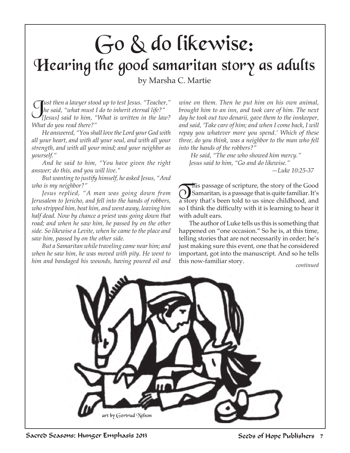## Go & do likewise: Hearing the good samaritan story as adults

by Marsha C. Martie

J*ust then a lawyer stood up to test Jesus. "Teacher," he said, "what must I do to inherit eternal life?" [Jesus] said to him, "What is written in the law? What do you read there?"* 

*He answered, "You shall love the Lord your God with all your heart, and with all your soul, and with all your strength, and with all your mind; and your neighbor as yourself."* 

*And he said to him, "You have given the right answer; do this, and you will live."*

*But wanting to justify himself, he asked Jesus, "And who is my neighbor?"* 

*Jesus replied, "A man was going down from Jerusalem to Jericho, and fell into the hands of robbers, who stripped him, beat him, and went away, leaving him half dead. Now by chance a priest was going down that road; and when he saw him, he passed by on the other side. So likewise a Levite, when he came to the place and saw him, passed by on the other side.* 

*But a Samaritan while traveling came near him; and when he saw him, he was moved with pity. He went to him and bandaged his wounds, having poured oil and*  *wine on them. Then he put him on his own animal, brought him to an inn, and took care of him. The next day he took out two denarii, gave them to the innkeeper, and said, 'Take care of him; and when I come back, I will repay you whatever more you spend.' Which of these three, do you think, was a neighbor to the man who fell into the hands of the robbers?"*

 *He said, "The one who showed him mercy." Jesus said to him, "Go and do likewise."*

 *—Luke 10:25-37*

This passage of scripture, the story of the Good<br>
Samaritan, is a passage that is quite familiar. It's a story that's been told to us since childhood, and so I think the difficulty with it is learning to hear it with adult ears.

The author of Luke tells us this is something that happened on "one occasion." So he is, at this time, telling stories that are not necessarily in order; he's just making sure this event, one that he considered important, got into the manuscript. And so he tells this now-familiar story. *continued*

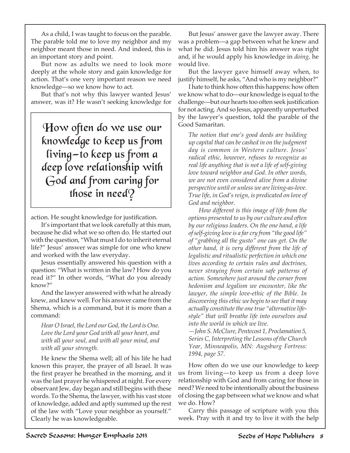As a child, I was taught to focus on the parable. The parable told me to love my neighbor and my neighbor meant those in need. And indeed, this is an important story and point.

But now as adults we need to look more deeply at the whole story and gain knowledge for action. That's one very important reason we need knowledge—so we know how to act.

But that's not why this lawyer wanted Jesus' answer, was it? He wasn't seeking knowledge for

How often do we use our knowledge to keep us from living—to keep us from a deep love relationship with God and from caring for those in need?

action. He sought knowledge for justification.

It's important that we look carefully at this man, because he did what we so often do. He started out with the question, "What must I do to inherit eternal life?" Jesus' answer was simple for one who knew and worked with the law everyday.

Jesus essentially answered his question with a question: "What is written in the law? How do you read it?" In other words, "What do you already know?"

And the lawyer answered with what he already knew, and knew well. For his answer came from the Shema, which is a command, but it is more than a command:

*Hear O Israel, the Lord our God, the Lord is One. Love the Lord your God with all your heart, and with all your soul, and with all your mind, and with all your strength.*

He knew the Shema well; all of his life he had known this prayer, the prayer of all Israel. It was the first prayer he breathed in the morning, and it was the last prayer he whispered at night. For every observant Jew, day began and still begins with these words. To the Shema, the lawyer, with his vast store of knowledge, added and aptly summed up the rest of the law with "Love your neighbor as yourself." Clearly he was knowledgeable.

But Jesus' answer gave the lawyer away. There was a problem—a gap between what he knew and what he did. Jesus told him his answer was right and, if he would apply his knowledge in *doing,* he would live.

But the lawyer gave himself away when, to justify himself, he asks, "And who is my neighbor?"

I hate to think how often this happens: how often we know what to do—our knowledge is equal to the challenge—but our hearts too often seek justification for not acting. And so Jesus, apparently unperturbed by the lawyer's question, told the parable of the Good Samaritan.

*The notion that one's good deeds are building up capital that can be cashed in on the judgment day is common in Western culture. Jesus' radical ethic, however, refuses to recognize as real life anything that is not a life of self-giving love toward neighbor and God. In other words, we are not even considered alive from a divine perspective until or unless we are living-as-love. True life, in God's reign, is predicated on love of God and neighbor.*

*How different is this image of life from the options presented to us by our culture and often by our religious leaders. On the one hand, a life of self-giving love is a far cry from "the good life" of "grabbing all the gusto" one can get. On the other hand, it is very different from the life of legalistic and ritualistic perfection in which one lives according to certain rules and doctrines, never straying from certain safe patterns of action. Somewhere just around the corner from hedonism and legalism we encounter, like the lawyer, the simple love-ethic of the Bible. In discovering this ethic we begin to see that it may actually constitute the one true "alternative lifestyle" that will breathe life into ourselves and into the world in which we live.* 

*—John S. McClure, Pentecost 1, Proclamation 5, Series C, Interpreting the Lessons of the Church Year, Minneapolis, MN: Augsburg Fortress: 1994, page 57.*

How often do we use our knowledge to keep us from living—to keep us from a deep love relationship with God and from caring for those in need? We need to be intentionally about the business of closing the gap between what we know and what we do. How?

Carry this passage of scripture with you this week. Pray with it and try to live it with the help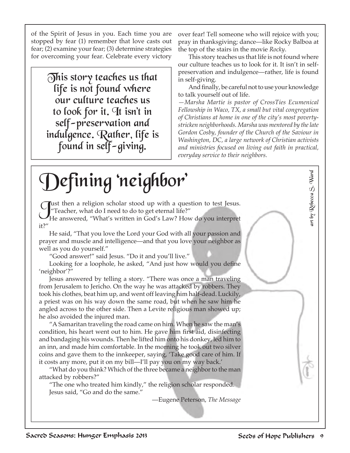of the Spirit of Jesus in you. Each time you are stopped by fear (1) remember that love casts out fear; (2) examine your fear; (3) determine strategies for overcoming your fear. Celebrate every victory

> This story teaches us that  $\,$ life is not found where our culture teaches us to look for it. It isn't in self-preservation and indulgence. Rather, life is found in self-giving.

over fear! Tell someone who will rejoice with you; pray in thanksgiving; dance—like Rocky Balboa at the top of the stairs in the movie *Rocky*.

This story teaches us that life is not found where our culture teaches us to look for it. It isn't in selfpreservation and indulgence—rather, life is found in self-giving.

And finally, be careful not to use your knowledge to talk yourself out of life.

*—Marsha Martie is pastor of CrossTies Ecumenical Fellowship in Waco, TX, a small but vital congregation of Christians at home in one of the city's most povertystricken neighborhoods. Marsha was mentored by the late Gordon Cosby, founder of the Church of the Saviour in Washington, DC, a large network of Christian activists and ministries focused on living out faith in practical, everyday service to their neighbors.*

#### art by Rebecca S. Wardart by Rebecca S. Ward Defining 'neighbor' **Cust then a religion scholar stood up with a question to test Jesus.** "Teacher, what do I need to do to get eternal life?" He answered, "What's written in God's Law? How do you interpret it?" He said, "That you love the Lord your God with all your passion and prayer and muscle and intelligence—and that you love your neighbor as well as you do yourself." "Good answer!" said Jesus. "Do it and you'll live." Looking for a loophole, he asked, "And just how would you define 'neighbor'?" Jesus answered by telling a story. "There was once a man traveling from Jerusalem to Jericho. On the way he was attacked by robbers. They took his clothes, beat him up, and went off leaving him half-dead. Luckily, a priest was on his way down the same road, but when he saw him he angled across to the other side. Then a Levite religious man showed up; he also avoided the injured man. "A Samaritan traveling the road came on him. When he saw the man's condition, his heart went out to him. He gave him first aid, disinfecting and bandaging his wounds. Then he lifted him onto his donkey, led him to an inn, and made him comfortable. In the morning he took out two silver coins and gave them to the innkeeper, saying, 'Take good care of him. If it costs any more, put it on my bill—I'll pay you on my way back.' "What do you think? Which of the three became a neighbor to the man attacked by robbers?" "The one who treated him kindly," the religion scholar responded. Jesus said, "Go and do the same." —Eugene Peterson, *The Message*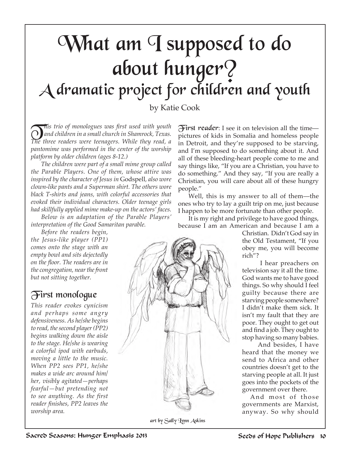## What am I supposed to do about hunger? A dramatic project for children and youth

by Katie Cook

T*his trio of monologues was first used with youth and children in a small church in Shamrock, Texas. The three readers were teenagers. While they read, a pantomime was performed in the center of the worship platform by older children (ages 8-12.)* 

*The children were part of a small mime group called the Parable Players. One of them, whose attire was inspired by the character of Jesus in* Godspell*, also wore clown-like pants and a Superman shirt. The others wore black T-shirts and jeans, with colorful accessories that evoked their individual characters. Older teenage girls had skillfully applied mime make-up on the actors' faces.*

*Below is an adaptation of the Parable Players' interpretation of the Good Samaritan parable.*

*Before the readers begin,* 

*the Jesus-like player (PP1) comes onto the stage with an empty bowl and sits dejectedly on the floor. The readers are in the congregation, near the front but not sitting together.*

#### First monologue

*This reader evokes cynicism and perhaps some angry defensiveness. As he/she begins to read, the second player (PP2) begins walking down the aisle to the stage. He/she is wearing a colorful ipod with earbuds, moving a little to the music. When PP2 sees PP1, he/she makes a wide arc around him/ her, visibly agitated—perhaps fearful—but pretending not to see anything. As the first reader finishes, PP2 leaves the worship area.*

 $\widetilde{\mathcal{F}}$ irst reader: I see it on television all the time pictures of kids in Somalia and homeless people in Detroit, and they're supposed to be starving, and I'm supposed to do something about it. And all of these bleeding-heart people come to me and say things like, "If you are a Christian, you have to do something." And they say, "If you are really a Christian, you will care about all of these hungry people."

Well, this is my answer to all of them—the ones who try to lay a guilt trip on me, just because I happen to be more fortunate than other people.

It is my right and privilege to have good things, because I am an American and because I am a

Christian. Didn't God say in the Old Testament, "If you obey me, you will become rich"?

 I hear preachers on television say it all the time. God wants me to have good things. So why should I feel guilty because there are starving people somewhere? I didn't make them sick. It isn't my fault that they are poor. They ought to get out and find a job. They ought to stop having so many babies.

 And besides, I have heard that the money we send to Africa and other countries doesn't get to the starving people at all. It just goes into the pockets of the government over there.

And most of those governments are Marxist, anyway. So why should



art by Sally Lynn Askins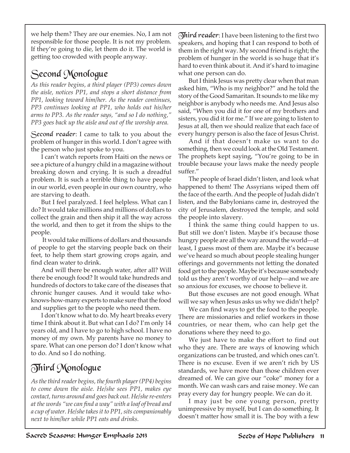we help them? They are our enemies. No, I am not responsible for those people. It is not my problem. If they're going to die, let them do it. The world is getting too crowded with people anyway.

#### Second Monologue

*As this reader begins, a third player (PP3) comes down the aisle, notices PP1, and stops a short distance from PP1, looking toward him/her. As the reader continues, PP3 continues looking at PP1, who holds out his/her arms to PP3. As the reader says, "and so I do nothing," PP3 goes back up the aisle and out of the worship area.*

Second reader: I came to talk to you about the problem of hunger in this world. I don't agree with the person who just spoke to you.

I can't watch reports from Haiti on the news or see a picture of a hungry child in a magazine without breaking down and crying. It is such a dreadful problem. It is such a terrible thing to have people in our world, even people in our own country, who are starving to death.

But I feel paralyzed. I feel helpless. What can I do? It would take millions and millions of dollars to collect the grain and then ship it all the way across the world, and then to get it from the ships to the people.

 It would take millions of dollars and thousands of people to get the starving people back on their feet, to help them start growing crops again, and find clean water to drink.

And will there be enough water, after all? Will there be enough food? It would take hundreds and hundreds of doctors to take care of the diseases that chronic hunger causes. And it would take whoknows-how-many experts to make sure that the food and supplies get to the people who need them.

I don't know what to do. My heart breaks every time I think about it. But what can I do? I'm only 14 years old, and I have to go to high school. I have no money of my own. My parents have no money to spare. What can one person do? I don't know what to do. And so I do nothing.

#### Third Monologue

*As the third reader begins, the fourth player (PP4) begins to come down the aisle. He/she sees PP1, makes eye contact, turns around and goes back out. He/she re-enters at the words "we can find a way" with a loaf of bread and a cup of water. He/she takes it to PP1, sits companionably next to him/her while PP1 eats and drinks.*

 $\delta$ hird reader: I have been listening to the first two speakers, and hoping that I can respond to both of them in the right way. My second friend is right; the problem of hunger in the world is so huge that it's hard to even think about it. And it's hard to imagine what one person can do.

But I think Jesus was pretty clear when that man asked him, "Who is my neighbor?" and he told the story of the Good Samaritan. It sounds to me like my neighbor is anybody who needs me. And Jesus also said, "When you did it for one of my brothers and sisters, you did it for me." If we are going to listen to Jesus at all, then we should realize that each face of every hungry person is also the face of Jesus Christ.

And if that doesn't make us want to do something, then we could look at the Old Testament. The prophets kept saying, "You're going to be in trouble because your laws make the needy people suffer."

The people of Israel didn't listen, and look what happened to them! The Assyrians wiped them off the face of the earth. And the people of Judah didn't listen, and the Babylonians came in, destroyed the city of Jerusalem, destroyed the temple, and sold the people into slavery.

I think the same thing could happen to us. But still we don't listen. Maybe it's because those hungry people are all the way around the world—at least, I guess most of them are. Maybe it's because we've heard so much about people stealing hunger offerings and governments not letting the donated food get to the people. Maybe it's because somebody told us they aren't worthy of our help—and we are so anxious for excuses, we choose to believe it.

But those excuses are not good enough. What will we say when Jesus asks us why we didn't help?

We can find ways to get the food to the people. There are missionaries and relief workers in those countries, or near them, who can help get the donations where they need to go.

We just have to make the effort to find out who they are. There are ways of knowing which organizations can be trusted, and which ones can't. There is no excuse. Even if we aren't rich by US standards, we have more than those children ever dreamed of. We can give our "coke" money for a month. We can wash cars and raise money. We can pray every day for hungry people. We can do it.

I may just be one young person, pretty unimpressive by myself, but I can do something. It doesn't matter how small it is. The boy with a few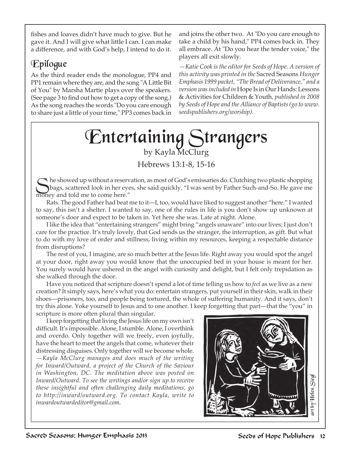fishes and loaves didn't have much to give. But he gave it. And I will give what little I can. I can make a difference, and with God's help, I intend to do it.

#### Epilogue

As the third reader ends the monologue, PP4 and PP1 remain where they are, and the song "A Little Bit of You" by Marsha Martie plays over the speakers. (See page 3 to find out how to get a copy of the song.) As the song reaches the words "Do you care enough to share just a little of your time," PP3 comes back in

and joins the other two. At "Do you care enough to take a child by his hand," PP4 comes back in. They all embrace. At "Do you hear the tender voice," the players all exit slowly.

*—Katie Cook is the editor for Seeds of Hope. A version of this activity was printed in the* Sacred Seasons *Hunger Emphasis 1999 packet, "The Bread of Deliverance," and a version was included in* Hope Is in Our Hands: Lessons & Activities for Children & Youth*, published in 2008 by Seeds of Hope and the Alliance of Baptists (go to www. seedspublishers.org/worship).* 

### Entertaining Strangers by Kayla McClurg

Hebrews 13:1-8, 15-16

the showed up without a reservation, as most of God's emissaries do. Clutching two plastic shopping<br>bags, scattered look in her eyes, she said quickly, "I was sent by Father Such-and-So. He gave me<br>expansion and tald ma to money and told me to come here."

Rats. The good Father had beat me to it—I, too, would have liked to suggest another "here." I wanted to say, this isn't a shelter. I wanted to say, one of the rules in life is you don't show up unknown at someone's door and expect to be taken in. Yet here she was. Late at night. Alone.

I like the idea that "entertaining strangers" might bring "angels unaware" into our lives; I just don't care for the practice. It's truly lovely, that God sends us the stranger, the interruption, as gift. But what to do with my love of order and stillness, living within my resources, keeping a respectable distance from disruptions?

The rest of you, I imagine, are so much better at the Jesus life. Right away you would spot the angel at your door, right away you would know that the unoccupied bed in your house is meant for her. You surely would have ushered in the angel with curiosity and delight, but I felt only trepidation as she walked through the door.

Have you noticed that scripture doesn't spend a lot of time telling us how to *feel* as we live as a new creation? It simply says, here's what you do: entertain strangers, put yourself in their skin, walk in their shoes—prisoners, too, and people being tortured, the whole of suffering humanity. And it says, don't try this alone. Yoke yourself to Jesus and to one another. I keep forgetting that part—that the "you" in scripture is more often plural than singular.

I keep forgetting that living the Jesus life on my own isn't difficult. It's impossible. Alone, I stumble. Alone, I overthink and overdo. Only together will we freely, even joyfully, have the heart to meet the angels that come, whatever their distressing disguises. Only together will we become whole.

*—Kayla McClurg manages and does much of the writing for Inward/Outward, a project of the Church of the Saviour in Washington, DC. The meditation above was posted on Inward/Outward. To see the writings and/or sign up to receive these insightful and often challenging daily meditations, go to http://inward/outward.org. To contact Kayla, write to inwardoutwardeditor@gmail.com.* 

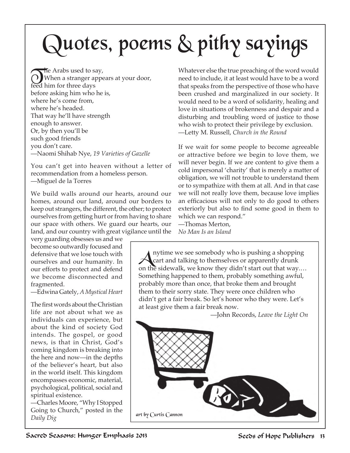# Quotes, poems & pithy sayings

The Arabs used to say,<br>When a stranger appears at your door, feed him for three days before asking him who he is, where he's come from, where he's headed. That way he'll have strength enough to answer. Or, by then you'll be such good friends you don't care. —Naomi Shihab Nye, *19 Varieties of Gazelle*

You can't get into heaven without a letter of recommendation from a homeless person. —Miguel de la Torres

We build walls around our hearts, around our homes, around our land, around our borders to keep out strangers, the different, the other; to protect ourselves from getting hurt or from having to share our space with others. We guard our hearts, our land, and our country with great vigilance until the

very guarding obsesses us and we become so outwardly focused and defensive that we lose touch with ourselves and our humanity. In our efforts to protect and defend we become disconnected and fragmented.

—Edwina Gately, *A Mystical Heart*

The first words about the Christian life are not about what we as individuals can experience, but about the kind of society God intends. The gospel, or good news, is that in Christ, God's coming kingdom is breaking into the here and now—in the depths of the believer's heart, but also in the world itself. This kingdom encompasses economic, material, psychological, political, social and spiritual existence.

—Charles Moore, "Why I Stopped Going to Church," posted in the *Daily Dig* 

Whatever else the true preaching of the word would need to include, it at least would have to be a word that speaks from the perspective of those who have been crushed and marginalized in our society. It would need to be a word of solidarity, healing and love in situations of brokenness and despair and a disturbing and troubling word of justice to those who wish to protect their privilege by exclusion. —Letty M. Russell, *Church in the Round*

If we wait for some people to become agreeable or attractive before we begin to love them, we will never begin. If we are content to give them a cold impersonal 'charity' that is merely a matter of obligation, we will not trouble to understand them or to sympathize with them at all. And in that case we will not really love them, because love implies an efficacious will not only to do good to others exteriorly but also to find some good in them to which we can respond."

—Thomas Merton, *No Man Is an Island*

Anytime we see somebody who is pushing a shopping<br>cart and talking to themselves or apparently drunk<br>on the cidewalk we know they didn't start out that were on the sidewalk, we know they didn't start out that way.… Something happened to them, probably something awful, probably more than once, that broke them and brought them to their sorry state. They were once children who didn't get a fair break. So let's honor who they were. Let's at least give them a fair break now.

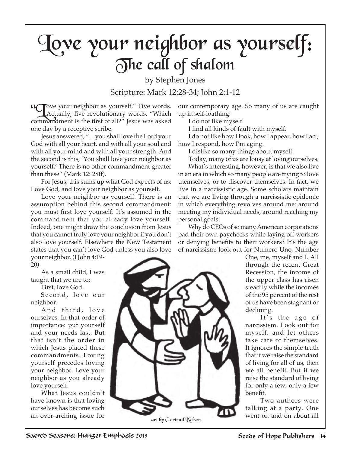## Love your neighbor as yourself: The call of shalom

by Stephen Jones Scripture: Mark 12:28-34; John 2:1-12

**Cove your neighbor as yourself."** Five words.<br>Actually, five revolutionary words. "Which commandment is the first of all?" Jesus was asked one day by a receptive scribe.

Jesus answered, "…you shall love the Lord your God with all your heart, and with all your soul and with all your mind and with all your strength. And the second is this, 'You shall love your neighbor as yourself.' There is no other commandment greater than these" (Mark 12: 28ff).

For Jesus, this sums up what God expects of us: Love God, and love your neighbor as yourself.

Love your neighbor as yourself. There is an assumption behind this second commandment: you must first love yourself. It's assumed in the commandment that you already love yourself. Indeed, one might draw the conclusion from Jesus that you cannot truly love your neighbor if you don't also love yourself. Elsewhere the New Testament states that you can't love God unless you also love your neighbor. (I John 4:19-

20)

As a small child, I was taught that we are to:

First, love God.

Second, love our neighbor.

And third, love ourselves. In that order of importance: put yourself and your needs last. But that isn't the order in which Jesus placed these commandments. Loving yourself precedes loving your neighbor. Love your neighbor as you already love yourself.

What Jesus couldn't have known is that loving ourselves has become such an over-arching issue for

our contemporary age. So many of us are caught up in self-loathing:

I do not like myself.

I find all kinds of fault with myself.

I do not like how I look, how I appear, how I act, how I respond, how I'm aging.

I dislike so many things about myself.

Today, many of us are lousy at loving ourselves.

What's interesting, however, is that we also live in an era in which so many people are trying to love themselves, or to discover themselves. In fact, we live in a narcissistic age. Some scholars maintain that we are living through a narcissistic epidemic in which everything revolves around me: around meeting my individual needs, around reaching my personal goals.

Why do CEOs of so many American corporations pad their own paychecks while laying off workers or denying benefits to their workers? It's the age of narcissism: look out for Numero Uno, Number

One, me, myself and I. All through the recent Great Recession, the income of the upper class has risen steadily while the incomes of the 95 percent of the rest of us have been stagnant or declining.

It's the age of narcissism. Look out for myself, and let others take care of themselves. It ignores the simple truth that if we raise the standard of living for all of us, then we all benefit. But if we raise the standard of living for only a few, only a few benefit.

Two authors were talking at a party. One

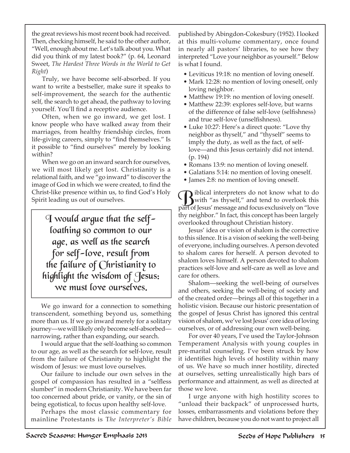the great reviews his most recent book had received. Then, checking himself, he said to the other author, "Well, enough about me. Let's talk about you. What did you think of my latest book?" (p. 64, Leonard Sweet, *The Hardest Three Words in the World to Get Right*)

Truly, we have become self-absorbed. If you want to write a bestseller, make sure it speaks to self-improvement, the search for the authentic self, the search to get ahead, the pathway to loving yourself. You'll find a receptive audience.

Often, when we go inward, we get lost. I know people who have walked away from their marriages, from healthy friendship circles, from life-giving careers, simply to "find themselves." Is it possible to "find ourselves" merely by looking within?

When we go on an inward search for ourselves, we will most likely get lost. Christianity is a relational faith, and we "go inward" to discover the image of God in which we were created, to find the Christ-like presence within us, to find God's Holy Spirit leading us out of ourselves.

 $\mathcal{I}$  would argue that the selfloathing so common to our age, as well as the search for self-love, result from the failure of Christianity to highlight the wisdom of Jesus: we must love ourselves.

We go inward for a connection to something transcendent, something beyond us, something more than us. If we go inward merely for a solitary journey—we will likely only become self-absorbed narrowing, rather than expanding, our search.

I would argue that the self-loathing so common to our age, as well as the search for self-love, result from the failure of Christianity to highlight the wisdom of Jesus: we must love ourselves.

Our failure to include our own selves in the gospel of compassion has resulted in a "selfless slumber" in modern Christianity. We have been far too concerned about pride, or vanity, or the sin of being egotistical, to focus upon healthy self-love.

Perhaps the most classic commentary for mainline Protestants is T*he Interpreter's Bible* published by Abingdon-Cokesbury (1952). I looked at this multi-volume commentary, once found in nearly all pastors' libraries, to see how they interpreted "Love your neighbor as yourself." Below is what I found.

- Leviticus 19:18: no mention of loving oneself.
- Mark 12:28: no mention of loving oneself, only loving neighbor.
- Matthew 19:19: no mention of loving oneself.
- Matthew 22:39: explores self-love, but warns of the difference of false self-love (selfishness) and true self-love (unselfishness).
- Luke 10:27: Here's a direct quote: "Love thy neighbor as thyself," and "thyself" seems to imply the duty, as well as the fact, of selflove—and this Jesus certainly did not intend. (p. 194)
- Romans 13:9: no mention of loving oneself.
- Galatians 5:14: no mention of loving oneself.
- James 2:8: no mention of loving oneself.

Wiblical interpreters do not know what to do<br>with "as thyself," and tend to overlook this<br>walked force and force auchainable on "laws" part of Jesus' message and focus exclusively on "love thy neighbor." In fact, this concept has been largely overlooked throughout Christian history.

Jesus' idea or vision of shalom is the corrective to this silence. It is a vision of seeking the well-being of everyone, including ourselves. A person devoted to shalom cares for herself. A person devoted to shalom loves himself. A person devoted to shalom practices self-love and self-care as well as love and care for others.

Shalom—seeking the well-being of ourselves and others, seeking the well-being of society and of the created order—brings all of this together in a holistic vision. Because our historic presentation of the gospel of Jesus Christ has ignored this central vision of shalom, we've lost Jesus' core idea of loving ourselves, or of addressing our own well-being.

For over 40 years, I've used the Taylor-Johnson Temperament Analysis with young couples in pre-marital counseling. I've been struck by how it identifies high levels of hostility within many of us. We have so much inner hostility, directed at ourselves, setting unrealistically high bars of performance and attainment, as well as directed at those we love.

I urge anyone with high hostility scores to "unload their backpack" of unprocessed hurts, losses, embarrassments and violations before they have children, because you do not want to project all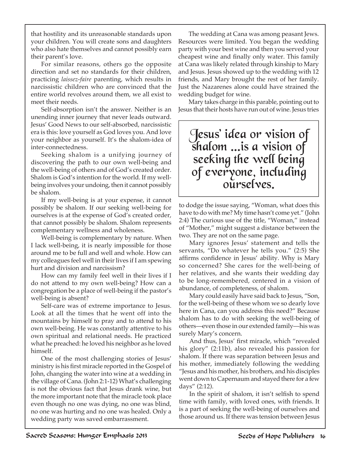that hostility and its unreasonable standards upon your children. You will create sons and daughters who also hate themselves and cannot possibly earn their parent's love.

For similar reasons, others go the opposite direction and set no standards for their children, practicing *laissez-faire* parenting, which results in narcissistic children who are convinced that the entire world revolves around them, we all exist to meet their needs.

Self-absorption isn't the answer. Neither is an unending inner journey that never leads outward. Jesus' Good News to our self-absorbed, narcissistic era is this: love yourself as God loves you. And love your neighbor as yourself. It's the shalom-idea of inter-connectedness.

Seeking shalom is a unifying journey of discovering the path to our own well-being and the well-being of others and of God's created order. Shalom is God's intention for the world. If my wellbeing involves your undoing, then it cannot possibly be shalom.

If my well-being is at your expense, it cannot possibly be shalom. If our seeking well-being for ourselves is at the expense of God's created order, that cannot possibly be shalom. Shalom represents complementary wellness and wholeness.

Well-being is complementary by nature. When I lack well-being, it is nearly impossible for those around me to be full and well and whole. How can my colleagues feel well in their lives if I am spewing hurt and division and narcissism?

How can my family feel well in their lives if I do not attend to my own well-being? How can a congregation be a place of well-being if the pastor's well-being is absent?

Self-care was of extreme importance to Jesus. Look at all the times that he went off into the mountains by himself to pray and to attend to his own well-being. He was constantly attentive to his own spiritual and relational needs. He practiced what he preached: he loved his neighbor as he loved himself.

One of the most challenging stories of Jesus' ministry is his first miracle reported in the Gospel of John, changing the water into wine at a wedding in the village of Cana. (John 2:1-12) What's challenging is not the obvious fact that Jesus drank wine, but the more important note that the miracle took place even though no one was dying, no one was blind, no one was hurting and no one was healed. Only a wedding party was saved embarrassment.

The wedding at Cana was among peasant Jews. Resources were limited. You began the wedding party with your best wine and then you served your cheapest wine and finally only water. This family at Cana was likely related through kinship to Mary and Jesus. Jesus showed up to the wedding with 12 friends, and Mary brought the rest of her family. Just the Nazarenes alone could have strained the wedding budget for wine.

Mary takes charge in this parable, pointing out to Jesus that their hosts have run out of wine. Jesus tries

### Jesus' idea or vision of shalom ...is a vision of seeking the well being of everyone, including ourselves.

to dodge the issue saying, "Woman, what does this have to do with me? My time hasn't come yet." (John 2:4) The curious use of the title, "Woman," instead of "Mother," might suggest a distance between the two. They are not on the same page.

Mary ignores Jesus' statement and tells the servants, "Do whatever he tells you." (2:5) She affirms confidence in Jesus' ability. Why is Mary so concerned? She cares for the well-being of her relatives, and she wants their wedding day to be long-remembered, centered in a vision of abundance, of completeness, of shalom.

Mary could easily have said back to Jesus, "Son, for the well-being of these whom we so dearly love here in Cana, can you address this need?" Because shalom has to do with seeking the well-being of others—even those in our extended family—his was surely Mary's concern.

And thus, Jesus' first miracle, which "revealed his glory" (2:11b), also revealed his passion for shalom. If there was separation between Jesus and his mother, immediately following the wedding "Jesus and his mother, his brothers, and his disciples went down to Capernaum and stayed there for a few days" (2:12).

In the spirit of shalom, it isn't selfish to spend time with family, with loved ones, with friends. It is a part of seeking the well-being of ourselves and those around us. If there was tension between Jesus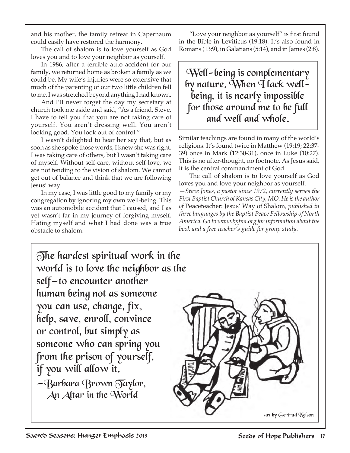and his mother, the family retreat in Capernaum could easily have restored the harmony.

The call of shalom is to love yourself as God loves you and to love your neighbor as yourself.

In 1986, after a terrible auto accident for our family, we returned home as broken a family as we could be. My wife's injuries were so extensive that much of the parenting of our two little children fell to me. I was stretched beyond anything I had known.

And I'll never forget the day my secretary at church took me aside and said, "As a friend, Steve, I have to tell you that you are not taking care of yourself. You aren't dressing well. You aren't looking good. You look out of control."

I wasn't delighted to hear her say that, but as soon as she spoke those words, I knew she was right. I was taking care of others, but I wasn't taking care of myself. Without self-care, without self-love, we are not tending to the vision of shalom. We cannot get out of balance and think that we are following Jesus' way.

In my case, I was little good to my family or my congregation by ignoring my own well-being. This was an automobile accident that I caused, and I as yet wasn't far in my journey of forgiving myself. Hating myself and what I had done was a true obstacle to shalom.

"Love your neighbor as yourself" is first found in the Bible in Leviticus (19:18). It's also found in Romans (13:9), in Galatians (5:14), and in James (2:8).

Well-being is complementary by nature. When  $\overline{q}$  lack well being, it is nearly impossible for those around me to be full and well and whole.

Similar teachings are found in many of the world's religions. It's found twice in Matthew (19:19; 22:37- 39) once in Mark (12:30-31), once in Luke (10:27). This is no after-thought, no footnote. As Jesus said, it is the central commandment of God.

The call of shalom is to love yourself as God loves you and love your neighbor as yourself. *—Steve Jones, a pastor since 1972, currently serves the First Baptist Church of Kansas City, MO. He is the author of* Peaceteacher: Jesus' Way of Shalom*, published in three languages by the Baptist Peace Fellowship of North America. Go to www.bpfna.org for information about the book and a free teacher's guide for group study.*

The hardest spiritual work in the world is to love the neighbor as the self—to encounter another human being not as someone you can use, change, fix, help, save, enroll, convince or control, but simply as someone who can spring you from the prison of yourself, if you will allow it.  $-\beta$ arbara Brown  $\overline{O}$ aylor, An Altar in the World

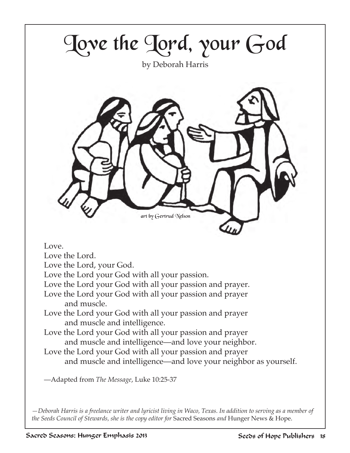

*—Deborah Harris is a freelance writer and lyricist living in Waco, Texas. In addition to serving as a member of the Seeds Council of Stewards, she is the copy editor for* Sacred Seasons *and* Hunger News & Hope.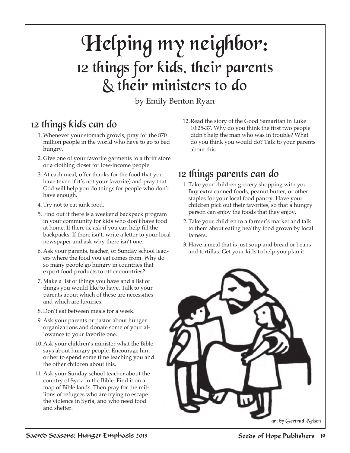### Helping my neighbor: 12 things for kids, their parents & their ministers to do

by Emily Benton Ryan

#### 12 things kids can do

- 1. Whenever your stomach growls, pray for the 870 million people in the world who have to go to bed hungry.
- 2. Give one of your favorite garments to a thrift store or a clothing closet for low-income people.
- 3. At each meal, offer thanks for the food that you have (even if it's not your favorite) and pray that God will help you do things for people who don't have enough.
- 4. Try not to eat junk food.
- 5. Find out if there is a weekend backpack program in your community for kids who don't have food at home. If there is, ask if you can help fill the backpacks. If there isn't, write a letter to your local newspaper and ask why there isn't one.
- 6. Ask your parents, teacher, or Sunday school leaders where the food you eat comes from. Why do so many people go hungry in countries that export food products to other countries?
- 7. Make a list of things you have and a list of things you would like to have. Talk to your parents about which of these are necessities and which are luxuries.
- 8. Don't eat between meals for a week.
- 9. Ask your parents or pastor about hunger organizations and donate some of your allowance to your favorite one.
- 10.Ask your children's minister what the Bible says about hungry people. Encourage him or her to spend some time teaching you and the other children about this.
- 11.Ask your Sunday school teacher about the country of Syria in the Bible. Find it on a map of Bible lands. Then pray for the millions of refugees who are trying to escape the violence in Syria, and who need food and shelter.

12.Read the story of the Good Samaritan in Luke 10:25-37. Why do you think the first two people didn't help the man who was in trouble? What do you think you would do? Talk to your parents about this.

#### 12 things parents can do

- 1.Take your children grocery shopping with you. Buy extra canned foods, peanut butter, or other staples for your local food pantry. Have your children pick out their favorites, so that a hungry person can enjoy the foods that they enjoy.
- 2.Take your children to a farmer's market and talk to them about eating healthy food grown by local famers.
- 3. Have a meal that is just soup and bread or beans and tortillas. Get your kids to help you plan it.

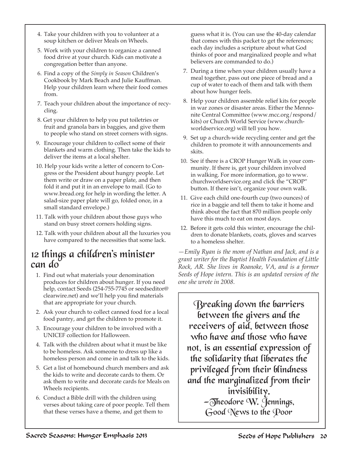- 4. Take your children with you to volunteer at a soup kitchen or deliver Meals on Wheels.
- 5. Work with your children to organize a canned food drive at your church. Kids can motivate a congregation better than anyone.
- 6. Find a copy of the *Simply in Season* Children's Cookbook by Mark Beach and Julie Kauffman. Help your children learn where their food comes from.
- 7. Teach your children about the importance of recycling.
- 8. Get your children to help you put toiletries or fruit and granola bars in baggies, and give them to people who stand on street corners with signs.
- 9. Encourage your children to collect some of their blankets and warm clothing. Then take the kids to deliver the items at a local shelter.
- 10. Help your kids write a letter of concern to Congress or the President about hungry people. Let them write or draw on a paper plate, and then fold it and put it in an envelope to mail. (Go to www.bread.org for help in wording the letter. A salad-size paper plate will go, folded once, in a small standard envelope.)
- 11. Talk with your children about those guys who stand on busy street corners holding signs.
- 12. Talk with your children about all the luxuries you have compared to the necessities that some lack.

#### 12 things a children's minister can do

- 1. Find out what materials your denomination produces for children about hunger. If you need help, contact Seeds (254-755-7745 or seedseditor@ clearwire.net) and we'll help you find materials that are appropriate for your church.
- 2. Ask your church to collect canned food for a local food pantry, and get the children to promote it.
- 3. Encourage your children to be involved with a UNICEF collection for Halloween.
- 4. Talk with the children about what it must be like to be homeless. Ask someone to dress up like a homeless person and come in and talk to the kids.
- 5. Get a list of homebound church members and ask the kids to write and decorate cards to them. Or ask them to write and decorate cards for Meals on Wheels recipients.
- 6. Conduct a Bible drill with the children using verses about taking care of poor people. Tell them that these verses have a theme, and get them to

guess what it is. (You can use the 40-day calendar that comes with this packet to get the references; each day includes a scripture about what God thinks of poor and marginalized people and what believers are commanded to do.)

- 7. During a time when your children usually have a meal together, pass out one piece of bread and a cup of water to each of them and talk with them about how hunger feels.
- 8. Help your children assemble relief kits for people in war zones or disaster areas. Either the Mennonite Central Committee (www.mcc.org/respond/ kits) or Church World Service (www.churchworldservice.org) will tell you how.
- 9. Set up a church-wide recycling center and get the children to promote it with announcements and skits.
- 10. See if there is a CROP Hunger Walk in your community. If there is, get your children involved in walking. For more information, go to www. churchworldservice.org and click the "CROP" button. If there isn't, organize your own walk.
- 11. Give each child one-fourth cup (two ounces) of rice in a baggie and tell them to take it home and think about the fact that 870 million people only have this much to eat on most days.
- 12. Before it gets cold this winter, encourage the children to donate blankets, coats, gloves and scarves to a homeless shelter.

*—Emily Ryan is the mom of Nathan and Jack, and is a grant writer for the Baptist Health Foundation of Little Rock, AR. She lives in Roanoke, VA, and is a former Seeds of Hope intern. This is an updated version of the one she wrote in 2008.*

Breaking down the barriers between the givers and the receivers of aid, between those who have and those who have not, is an essential expression of the solidarity that liberates the privileged from their blindness and the marginalized from their invisibility.  $-\overline{0}$ heodore W. Jennings, Good News to the Poor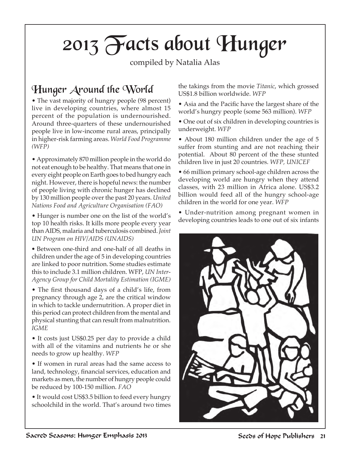## 2013 Facts about Hunger

compiled by Natalia Alas

#### Hunger Around the World

• The vast majority of hungry people (98 percent) live in developing countries, where almost 15 percent of the population is undernourished. Around three-quarters of these undernourished people live in low-income rural areas, principally in higher-risk farming areas. *World Food Programme (WFP)* 

• Approximately 870 million people in the world do not eat enough to be healthy. That means that one in every eight people on Earth goes to bed hungry each night. However, there is hopeful news: the number of people living with chronic hunger has declined by 130 million people over the past 20 years. *United Nations Food and Agriculture Organisation (FAO)*

• Hunger is number one on the list of the world's top 10 health risks. It kills more people every year than AIDS, malaria and tuberculosis combined. *Joint UN Program on HIV/AIDS (UNAIDS)*

*•* Between one-third and one-half of all deaths in children under the age of 5 in developing countries are linked to poor nutrition. Some studies estimate this to include 3.1 million children. WFP, *UN Inter-Agency Group for Child Mortality Estimation (IGME)*

• The first thousand days of a child's life, from pregnancy through age 2, are the critical window in which to tackle undernutrition. A proper diet in this period can protect children from the mental and physical stunting that can result from malnutrition. *IGME*

• It costs just US\$0.25 per day to provide a child with all of the vitamins and nutrients he or she needs to grow up healthy. *WFP*

• If women in rural areas had the same access to land, technology, financial services, education and markets as men, the number of hungry people could be reduced by 100-150 million. *FAO*

• It would cost US\$3.5 billion to feed every hungry schoolchild in the world. That's around two times

the takings from the movie *Titanic*, which grossed US\$1.8 billion worldwide. *WFP*

• Asia and the Pacific have the largest share of the world's hungry people (some 563 million). *WFP*

• One out of six children in developing countries is underweight. *WFP*

• About 180 million children under the age of 5 suffer from stunting and are not reaching their potential. About 80 percent of the these stunted children live in just 20 countries. *WFP, UNICEF*

• 66 million primary school-age children across the developing world are hungry when they attend classes, with 23 million in Africa alone. US\$3.2 billion would feed all of the hungry school-age children in the world for one year. *WFP*

• Under-nutrition among pregnant women in developing countries leads to one out of six infants

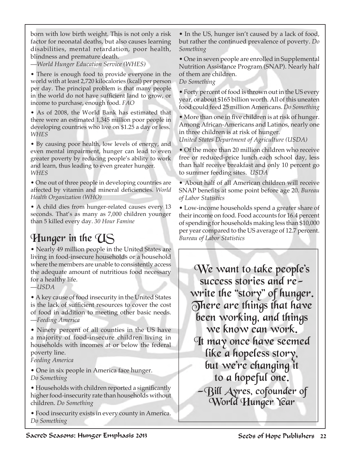born with low birth weight. This is not only a risk factor for neonatal deaths, but also causes learning disabilities, mental retardation, poor health, blindness and premature death.

—*World Hunger Education Service (WHES)*

• There is enough food to provide everyone in the world with at least 2,720 kilocalories (kcal) per person per day. The principal problem is that many people in the world do not have sufficient land to grow, or income to purchase, enough food. *FAO*

• As of 2008, the World Bank has estimated that there were an estimated 1,345 million poor people in developing countries who live on \$1.25 a day or less. *WHES*

• By causing poor health, low levels of energy, and even mental impairment, hunger can lead to even greater poverty by reducing people's ability to work and learn, thus leading to even greater hunger. *WHES*

• One out of three people in developing countries are affected by vitamin and mineral deficiencies. *World Health Organization (WHO)*

• A child dies from hunger-related causes every 13 seconds. That's as many as 7,000 children younger than 5 killed every day. *30 Hour Famine*

### Hunger in the US

• Nearly 49 million people in the United States are living in food-insecure households or a household where the members are unable to consistently access the adequate amount of nutritious food necessary for a healthy life.

—*USDA*

• A key cause of food insecurity in the United States is the lack of sufficient resources to cover the cost of food in addition to meeting other basic needs. —*Feeding America*

• Ninety percent of all counties in the US have a majority of food-insecure children living in households with incomes at or below the federal poverty line.

*Feeding America*

• One in six people in America face hunger. *Do Something*

• Households with children reported a significantly higher food-insecurity rate than households without children. *Do Something*

• Food insecurity exists in every county in America. *Do Something*

• In the US, hunger isn't caused by a lack of food, but rather the continued prevalence of poverty. *Do Something*

• One in seven people are enrolled in Supplemental Nutrition Assistance Program (SNAP). Nearly half of them are children.

*Do Something*

• Forty percent of food is thrown out in the US every year, or about \$165 billion worth. All of this uneaten food could feed 25 million Americans. *Do Something*

• More than one in five children is at risk of hunger. Among African-Americans and Latinos, nearly one in three children is at risk of hunger.

*United States Department of Agriculture (USDA)*

• Of the more than 20 million children who receive free or reduced-price lunch each school day, less than half receive breakfast and only 10 percent go to summer feeding sites. *USDA*

• About half of all American children will receive SNAP benefits at some point before age 20. *Bureau of Labor Statistics*

• Low-income households spend a greater share of their income on food. Food accounts for 16.4 percent of spending for households making less than \$10,000 per year compared to the US average of 12.7 percent. *Bureau of Labor Statistics*

We want to take people's success stories and rewrite the "story" of hunger. There are things that have been working, and things we know can work. It may once have seemed like a hopeless story, but we're changing it to a hopeful one. —Bill Ayres, cofounder of World Hunger Year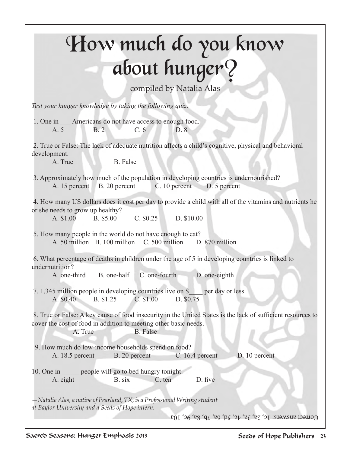## How much do you know about hunger?

compiled by Natalia Alas

*Test your hunger knowledge by taking the following quiz.*

1. One in Americans do not have access to enough food. A. 5 B. 2 C. 6 D. 8

 2. True or False: The lack of adequate nutrition affects a child's cognitive, physical and behavioral development.

A. True B. False

 3. Approximately how much of the population in developing countries is undernourished? A. 15 percent B. 20 percent C. 10 percent D. 5 percent

 4. How many US dollars does it cost per day to provide a child with all of the vitamins and nutrients he or she needs to grow up healthy?

A. \$1.00 B. \$5.00 C. \$0.25 D. \$10.00

 5. How many people in the world do not have enough to eat? A. 50 million B. 100 million C. 500 million D. 870 million

 6. What percentage of deaths in children under the age of 5 in developing countries is linked to undernutrition?

A. one-third B. one-half C. one-fourth D. one-eighth

 7. 1,345 million people in developing countries live on \$\_\_\_\_ per day or less. A. \$0.40 B. \$1.25 C. \$1.00 D. \$0.75

 8. True or False: A key cause of food insecurity in the United States is the lack of sufficient resources to cover the cost of food in addition to meeting other basic needs.

A. True B. False

 9. How much do low-income households spend on food? A. 18.5 percent B. 20 percent C. 16.4 percent D. 10 percent

10. One in people will go to bed hungry tonight. A. eight B. six C. ten D. five

*—Natalie Alas, a native of Pearland, TX, is a Professional Writing student at Baylor University and a Seeds of Hope intern.* 

Correct answers:  $1c$ ,  $2a$ ,  $3a$ ,  $4c$ ,  $5d$ ,  $6a$ ,  $7b$ ,  $8a$ ,  $9c$ ,  $10a$